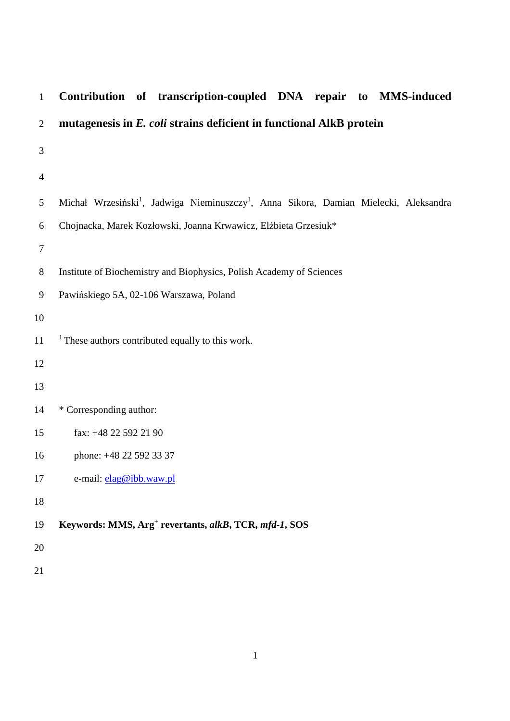| $\mathbf{1}$     | Contribution of transcription-coupled DNA repair to MMS-induced                                               |
|------------------|---------------------------------------------------------------------------------------------------------------|
| $\overline{2}$   | mutagenesis in E. coli strains deficient in functional AlkB protein                                           |
| 3                |                                                                                                               |
| $\overline{4}$   |                                                                                                               |
| $\mathfrak{S}$   | Michał Wrzesiński <sup>1</sup> , Jadwiga Nieminuszczy <sup>1</sup> , Anna Sikora, Damian Mielecki, Aleksandra |
| $\boldsymbol{6}$ | Chojnacka, Marek Kozłowski, Joanna Krwawicz, Elżbieta Grzesiuk*                                               |
| $\boldsymbol{7}$ |                                                                                                               |
| $\,8\,$          | Institute of Biochemistry and Biophysics, Polish Academy of Sciences                                          |
| $\overline{9}$   | Pawińskiego 5A, 02-106 Warszawa, Poland                                                                       |
| 10               |                                                                                                               |
| 11               | $1$ These authors contributed equally to this work.                                                           |
| 12               |                                                                                                               |
| 13               |                                                                                                               |
| 14               | * Corresponding author:                                                                                       |
| 15               | fax: +48 22 592 21 90                                                                                         |
| 16               | phone: +48 22 592 33 37                                                                                       |
| 17               | e-mail: elag@ibb.waw.pl                                                                                       |
| 18               |                                                                                                               |
| 19               | Keywords: MMS, Arg <sup>+</sup> revertants, alkB, TCR, mfd-1, SOS                                             |
| 20               |                                                                                                               |
| 21               |                                                                                                               |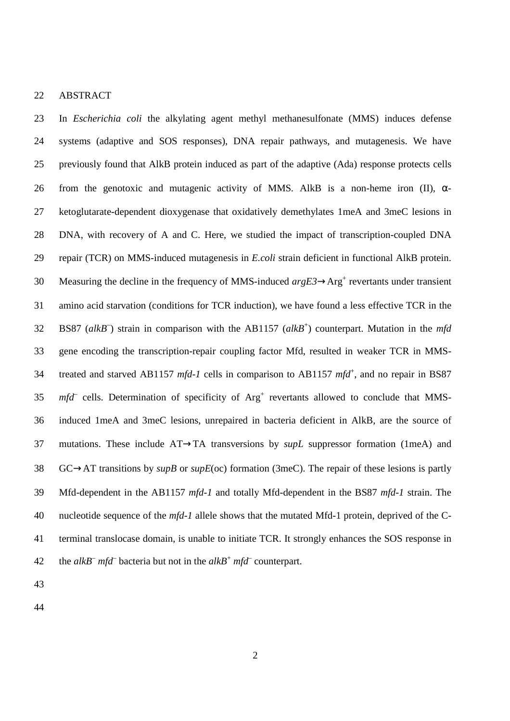22 ABSTRACT

23 In *Escherichia coli* the alkylating agent methyl methanesulfonate (MMS) induces defense 24 systems (adaptive and SOS responses), DNA repair pathways, and mutagenesis. We have 25 previously found that AlkB protein induced as part of the adaptive (Ada) response protects cells 26 from the genotoxic and mutagenic activity of MMS. AlkB is a non-heme iron (II),  $\alpha$ -27 ketoglutarate-dependent dioxygenase that oxidatively demethylates 1meA and 3meC lesions in 28 DNA, with recovery of A and C. Here, we studied the impact of transcription-coupled DNA 29 repair (TCR) on MMS-induced mutagenesis in *E.coli* strain deficient in functional AlkB protein. 30 Measuring the decline in the frequency of MMS-induced  $argE3 \rightarrow Arg^+$  revertants under transient 31 amino acid starvation (conditions for TCR induction), we have found a less effective TCR in the BS87 (*alkB*– ) strain in comparison with the AB1157 (*alkB*<sup>+</sup> 32 ) counterpart. Mutation in the *mfd* 33 gene encoding the transcription-repair coupling factor Mfd, resulted in weaker TCR in MMS-34 treated and starved AB1157 mfd-1 cells in comparison to AB1157 mfd<sup>+</sup>, and no repair in BS87  $35$  *mfd* cells. Determination of specificity of  $Arg<sup>+</sup>$  revertants allowed to conclude that MMS-36 induced 1meA and 3meC lesions, unrepaired in bacteria deficient in AlkB, are the source of 37 mutations. These include AT→TA transversions by *supL* suppressor formation (1meA) and 38 GC→AT transitions by *supB* or *supE*(oc) formation (3meC). The repair of these lesions is partly 39 Mfd-dependent in the AB1157 *mfd-1* and totally Mfd-dependent in the BS87 *mfd-1* strain. The 40 nucleotide sequence of the *mfd-1* allele shows that the mutated Mfd-1 protein, deprived of the C-41 terminal translocase domain, is unable to initiate TCR. It strongly enhances the SOS response in 42 the *alkB<sup>-</sup> mfd<sup>-</sup>* bacteria but not in the *alkB<sup>+</sup> mfd<sup>-</sup>* counterpart.

43

44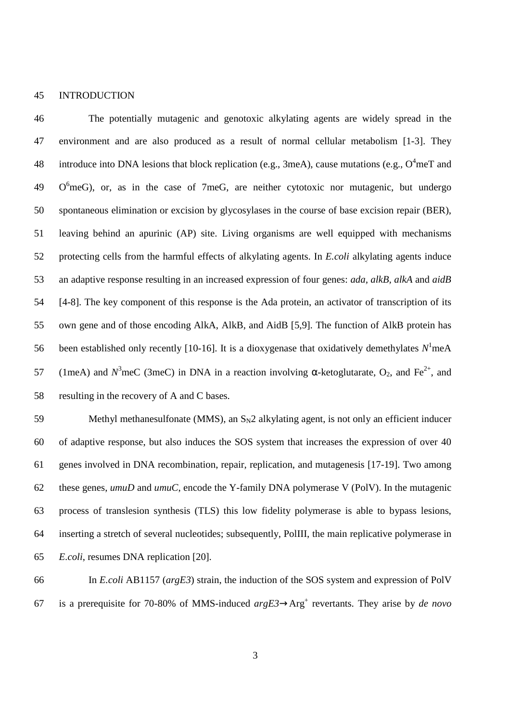#### 45 INTRODUCTION

46 The potentially mutagenic and genotoxic alkylating agents are widely spread in the 47 environment and are also produced as a result of normal cellular metabolism [1-3]. They 48 introduce into DNA lesions that block replication (e.g., 3meA), cause mutations (e.g.,  $O^4$ meT and  $49$  O<sup>6</sup>meG), or, as in the case of 7meG, are neither cytotoxic nor mutagenic, but undergo 50 spontaneous elimination or excision by glycosylases in the course of base excision repair (BER), 51 leaving behind an apurinic (AP) site. Living organisms are well equipped with mechanisms 52 protecting cells from the harmful effects of alkylating agents. In *E.coli* alkylating agents induce 53 an adaptive response resulting in an increased expression of four genes: *ada, alkB, alkA* and *aidB*  54 [4-8]. The key component of this response is the Ada protein, an activator of transcription of its 55 own gene and of those encoding AlkA, AlkB, and AidB [5,9]. The function of AlkB protein has 56 been established only recently [10-16]. It is a dioxygenase that oxidatively demethylates  $N^1$ meA 57 (1meA) and  $N^3$ meC (3meC) in DNA in a reaction involving α-ketoglutarate, O<sub>2</sub>, and Fe<sup>2+</sup>, and 58 resulting in the recovery of A and C bases.

59 Methyl methanesulfonate (MMS), an  $S_N2$  alkylating agent, is not only an efficient inducer 60 of adaptive response, but also induces the SOS system that increases the expression of over 40 61 genes involved in DNA recombination, repair, replication, and mutagenesis [17-19]. Two among 62 these genes, *umuD* and *umuC*, encode the Y-family DNA polymerase V (PolV). In the mutagenic 63 process of translesion synthesis (TLS) this low fidelity polymerase is able to bypass lesions, 64 inserting a stretch of several nucleotides; subsequently, PolIII, the main replicative polymerase in 65 *E.coli*, resumes DNA replication [20].

66 In *E.coli* AB1157 (*argE3*) strain, the induction of the SOS system and expression of PolV 67 is a prerequisite for 70-80% of MMS-induced  $argE3 \rightarrow Arg^+$  revertants. They arise by *de novo*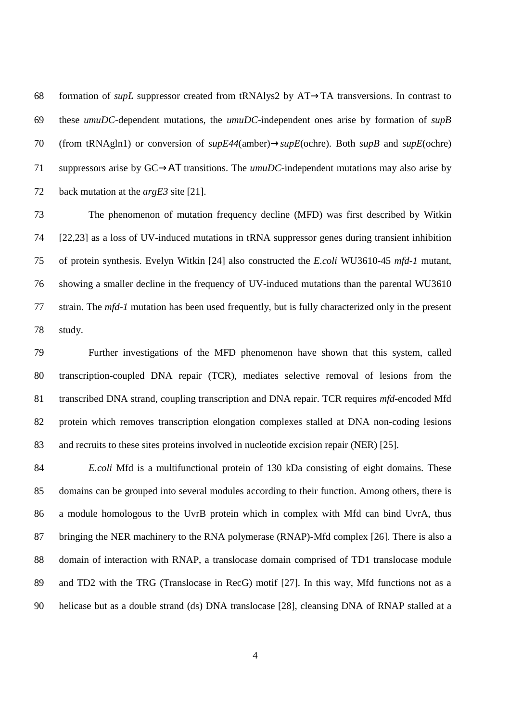68 formation of *supL* suppressor created from tRNAlys2 by AT→TA transversions. In contrast to 69 these *umuDC*-dependent mutations, the *umuDC*-independent ones arise by formation of *supB* 70 (from tRNAgln1) or conversion of *supE44*(amber)→*supE*(ochre). Both *supB* and *supE*(ochre) 71 suppressors arise by GC→ΑΤ transitions. The *umuDC*-independent mutations may also arise by 72 back mutation at the *argE3* site [21].

73 The phenomenon of mutation frequency decline (MFD) was first described by Witkin 74 [22,23] as a loss of UV-induced mutations in tRNA suppressor genes during transient inhibition 75 of protein synthesis. Evelyn Witkin [24] also constructed the *E.coli* WU3610-45 *mfd-1* mutant, 76 showing a smaller decline in the frequency of UV-induced mutations than the parental WU3610 77 strain. The *mfd-1* mutation has been used frequently, but is fully characterized only in the present 78 study.

79 Further investigations of the MFD phenomenon have shown that this system, called 80 transcription-coupled DNA repair (TCR), mediates selective removal of lesions from the 81 transcribed DNA strand, coupling transcription and DNA repair. TCR requires *mfd*-encoded Mfd 82 protein which removes transcription elongation complexes stalled at DNA non-coding lesions 83 and recruits to these sites proteins involved in nucleotide excision repair (NER) [25].

84 *E.coli* Mfd is a multifunctional protein of 130 kDa consisting of eight domains. These 85 domains can be grouped into several modules according to their function. Among others, there is 86 a module homologous to the UvrB protein which in complex with Mfd can bind UvrA, thus 87 bringing the NER machinery to the RNA polymerase (RNAP)-Mfd complex [26]. There is also a 88 domain of interaction with RNAP, a translocase domain comprised of TD1 translocase module 89 and TD2 with the TRG (Translocase in RecG) motif [27]. In this way, Mfd functions not as a 90 helicase but as a double strand (ds) DNA translocase [28], cleansing DNA of RNAP stalled at a

4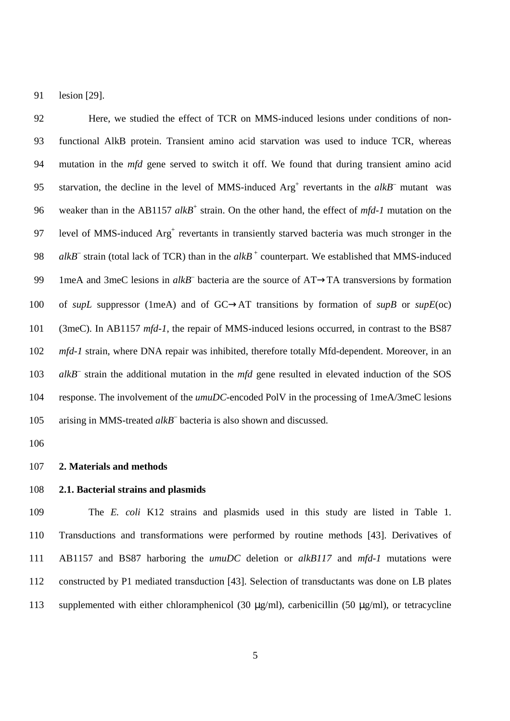91 lesion [29].

92 Here, we studied the effect of TCR on MMS-induced lesions under conditions of non-93 functional AlkB protein. Transient amino acid starvation was used to induce TCR, whereas 94 mutation in the *mfd* gene served to switch it off. We found that during transient amino acid 95 starvation, the decline in the level of MMS-induced  $Arg<sup>+</sup>$  revertants in the  $alkB<sup>-</sup>$  mutant was 96 weaker than in the AB1157 alkB<sup>+</sup> strain. On the other hand, the effect of *mfd-1* mutation on the 97 level of MMS-induced Arg<sup>+</sup> revertants in transiently starved bacteria was much stronger in the 98 *alkB* strain (total lack of TCR) than in the  $alkB^+$  counterpart. We established that MMS-induced 99 1meA and 3meC lesions in  $alkB^-$  bacteria are the source of  $AT\rightarrow TA$  transversions by formation 100 of *supL* suppressor (1meA) and of GC→AT transitions by formation of *supB* or *supE*(oc) 101 (3meC). In AB1157 *mfd-1*, the repair of MMS-induced lesions occurred, in contrast to the BS87 102 *mfd-1* strain, where DNA repair was inhibited, therefore totally Mfd-dependent. Moreover, in an 103 alkB<sup>–</sup> strain the additional mutation in the *mfd* gene resulted in elevated induction of the SOS 104 response. The involvement of the *umuDC*-encoded PolV in the processing of 1meA/3meC lesions 105 arising in MMS-treated alkB<sup>-</sup> bacteria is also shown and discussed.

106

#### 107 **2. Materials and methods**

### 108 **2.1. Bacterial strains and plasmids**

109 The *E. coli* K12 strains and plasmids used in this study are listed in Table 1. 110 Transductions and transformations were performed by routine methods [43]. Derivatives of 111 AB1157 and BS87 harboring the *umuDC* deletion or *alkB117* and *mfd-1* mutations were 112 constructed by P1 mediated transduction [43]. Selection of transductants was done on LB plates 113 supplemented with either chloramphenicol (30 µg/ml), carbenicillin (50 µg/ml), or tetracycline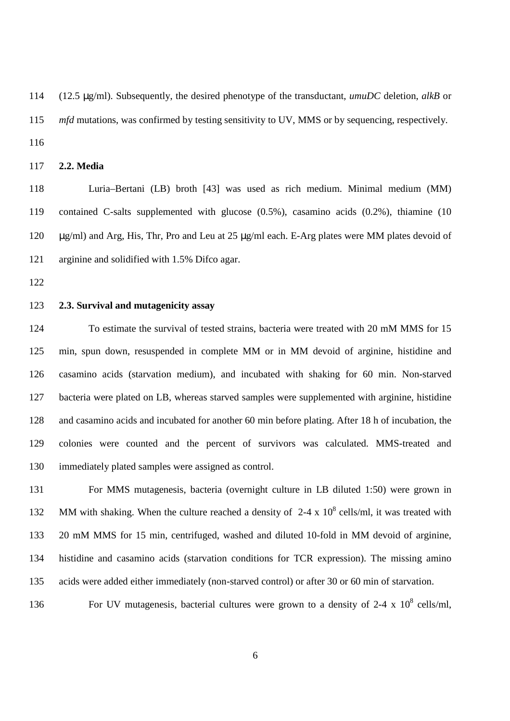114 (12.5 µg/ml). Subsequently, the desired phenotype of the transductant, *umuDC* deletion, *alkB* or 115 *mfd* mutations, was confirmed by testing sensitivity to UV, MMS or by sequencing, respectively. 116

# 117 **2.2. Media**

118 Luria–Bertani (LB) broth [43] was used as rich medium. Minimal medium (MM) 119 contained C-salts supplemented with glucose (0.5%), casamino acids (0.2%), thiamine (10 120 µg/ml) and Arg, His, Thr, Pro and Leu at 25 µg/ml each. E-Arg plates were MM plates devoid of 121 arginine and solidified with 1.5% Difco agar.

122

### 123 **2.3. Survival and mutagenicity assay**

124 To estimate the survival of tested strains, bacteria were treated with 20 mM MMS for 15 125 min, spun down, resuspended in complete MM or in MM devoid of arginine, histidine and 126 casamino acids (starvation medium), and incubated with shaking for 60 min. Non-starved 127 bacteria were plated on LB, whereas starved samples were supplemented with arginine, histidine 128 and casamino acids and incubated for another 60 min before plating. After 18 h of incubation, the 129 colonies were counted and the percent of survivors was calculated. MMS-treated and 130 immediately plated samples were assigned as control.

131 For MMS mutagenesis, bacteria (overnight culture in LB diluted 1:50) were grown in 132 MM with shaking. When the culture reached a density of  $2-4 \times 10^8$  cells/ml, it was treated with 133 20 mM MMS for 15 min, centrifuged, washed and diluted 10-fold in MM devoid of arginine, 134 histidine and casamino acids (starvation conditions for TCR expression). The missing amino 135 acids were added either immediately (non-starved control) or after 30 or 60 min of starvation.

136 For UV mutagenesis, bacterial cultures were grown to a density of 2-4 x  $10^8$  cells/ml,

6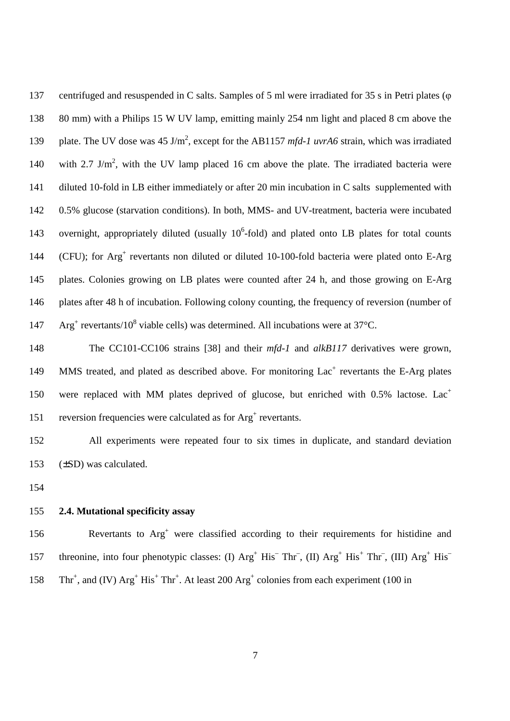137 centrifuged and resuspended in C salts. Samples of 5 ml were irradiated for 35 s in Petri plates (φ 138 80 mm) with a Philips 15 W UV lamp, emitting mainly 254 nm light and placed 8 cm above the 139 plate. The UV dose was 45 J/m<sup>2</sup>, except for the AB1157 *mfd-1 uvrA6* strain, which was irradiated 140 with 2.7 J/m<sup>2</sup>, with the UV lamp placed 16 cm above the plate. The irradiated bacteria were 141 diluted 10-fold in LB either immediately or after 20 min incubation in C salts supplemented with 142 0.5% glucose (starvation conditions). In both, MMS- and UV-treatment, bacteria were incubated 143 overnight, appropriately diluted (usually  $10^6$ -fold) and plated onto LB plates for total counts 144 (CFU); for Arg<sup>+</sup> revertants non diluted or diluted 10-100-fold bacteria were plated onto E-Arg 145 plates. Colonies growing on LB plates were counted after 24 h, and those growing on E-Arg 146 plates after 48 h of incubation. Following colony counting, the frequency of reversion (number of  $147$  Arg<sup>+</sup> revertants/10<sup>8</sup> viable cells) was determined. All incubations were at 37°C.

148 The CC101-CC106 strains [38] and their *mfd-1* and *alkB117* derivatives were grown, 149 MMS treated, and plated as described above. For monitoring Lac<sup>+</sup> revertants the E-Arg plates were replaced with MM plates deprived of glucose, but enriched with  $0.5\%$  lactose. Lac<sup>+</sup> 150 151 reversion frequencies were calculated as for Arg<sup>+</sup> revertants.

152 All experiments were repeated four to six times in duplicate, and standard deviation 153 (±SD) was calculated.

154

# 155 **2.4. Mutational specificity assay**

156 Revertants to Arg<sup>+</sup> were classified according to their requirements for histidine and threonine, into four phenotypic classes: (I)  $Arg^+$  His<sup>-</sup> Thr<sup>-</sup>, (II)  $Arg^+$  His<sup>+</sup> Thr<sup>-</sup>, (III)  $Arg^+$  His<sup>-</sup> 157 158 Thr<sup>+</sup>, and (IV)  $Arg^+ His^+ Thr^+$ . At least 200  $Arg^+$  colonies from each experiment (100 in

7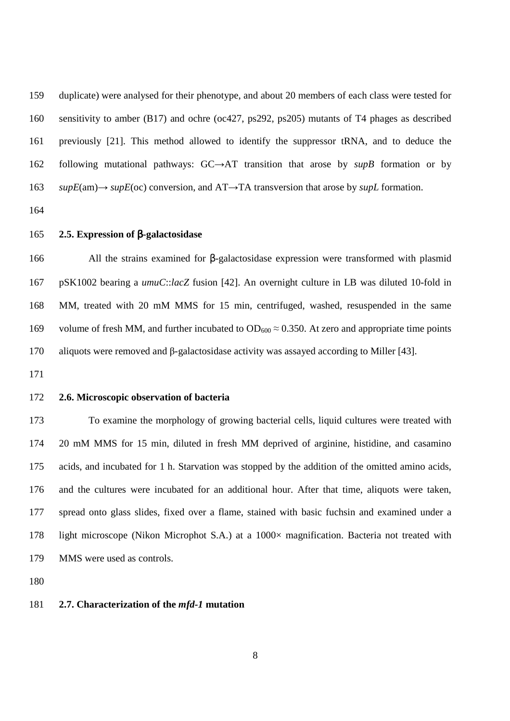159 duplicate) were analysed for their phenotype, and about 20 members of each class were tested for 160 sensitivity to amber (B17) and ochre (oc427, ps292, ps205) mutants of T4 phages as described 161 previously [21]. This method allowed to identify the suppressor tRNA, and to deduce the 162 following mutational pathways: GC→AT transition that arose by *supB* formation or by 163 *supE*(am)→ *supE*(oc) conversion, and AT→TA transversion that arose by *supL* formation.

164

#### 165 **2.5. Expression of** β**-galactosidase**

166 All the strains examined for β-galactosidase expression were transformed with plasmid 167 pSK1002 bearing a *umuC*::*lacZ* fusion [42]. An overnight culture in LB was diluted 10-fold in 168 MM, treated with 20 mM MMS for 15 min, centrifuged, washed, resuspended in the same 169 volume of fresh MM, and further incubated to  $OD_{600} \approx 0.350$ . At zero and appropriate time points 170 aliquots were removed and β-galactosidase activity was assayed according to Miller [43].

171

### 172 **2.6. Microscopic observation of bacteria**

173 To examine the morphology of growing bacterial cells, liquid cultures were treated with 174 20 mM MMS for 15 min, diluted in fresh MM deprived of arginine, histidine, and casamino 175 acids, and incubated for 1 h. Starvation was stopped by the addition of the omitted amino acids, 176 and the cultures were incubated for an additional hour. After that time, aliquots were taken, 177 spread onto glass slides, fixed over a flame, stained with basic fuchsin and examined under a 178 light microscope (Nikon Microphot S.A.) at a 1000× magnification. Bacteria not treated with 179 MMS were used as controls.

180

# 181 **2.7. Characterization of the** *mfd-1* **mutation**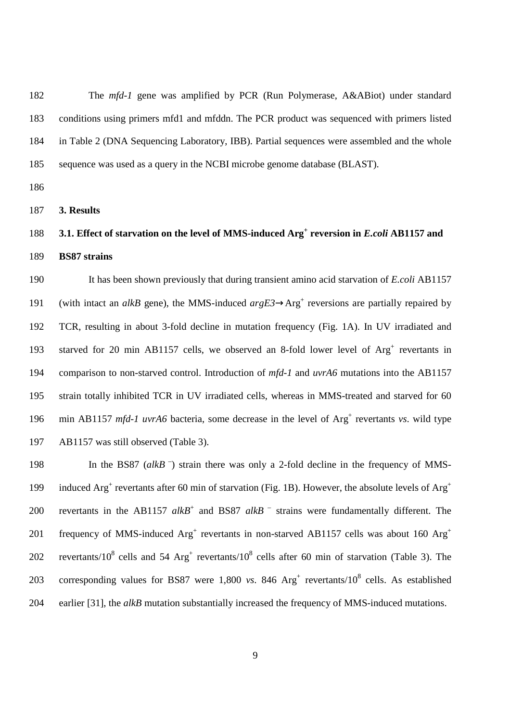182 The *mfd-1* gene was amplified by PCR (Run Polymerase, A&ABiot) under standard 183 conditions using primers mfd1 and mfddn. The PCR product was sequenced with primers listed 184 in Table 2 (DNA Sequencing Laboratory, IBB). Partial sequences were assembled and the whole 185 sequence was used as a query in the NCBI microbe genome database (BLAST).

186

187 **3. Results** 

# **3.1. Effect of starvation on the level of MMS-induced Arg<sup>+</sup>** 188 **reversion in** *E.coli* **AB1157 and**  189 **BS87 strains**

190 It has been shown previously that during transient amino acid starvation of *E.coli* AB1157 191 (with intact an *alkB* gene), the MMS-induced  $argE3 \rightarrow Arg^+$  reversions are partially repaired by 192 TCR, resulting in about 3-fold decline in mutation frequency (Fig. 1A). In UV irradiated and 193 starved for 20 min AB1157 cells, we observed an 8-fold lower level of Arg<sup>+</sup> revertants in 194 comparison to non-starved control. Introduction of *mfd-1* and *uvrA6* mutations into the AB1157 195 strain totally inhibited TCR in UV irradiated cells, whereas in MMS-treated and starved for 60 196 min AB1157 mfd-1 *uvrA6* bacteria, some decrease in the level of Arg<sup>+</sup> revertants *vs*. wild type 197 AB1157 was still observed (Table 3).

198 In the BS87 (alkB<sup>-</sup>) strain there was only a 2-fold decline in the frequency of MMSinduced  $Arg^+$  revertants after 60 min of starvation (Fig. 1B). However, the absolute levels of  $Arg^+$ 199 200 revertants in the AB1157  $alkB^+$  and BS87  $alkB^-$  strains were fundamentally different. The frequency of MMS-induced  $Arg^+$  revertants in non-starved AB1157 cells was about 160  $Arg^+$ 201 202 revertants/10<sup>8</sup> cells and 54 Arg<sup>+</sup> revertants/10<sup>8</sup> cells after 60 min of starvation (Table 3). The 203 corresponding values for BS87 were  $1,800$  *vs.* 846  $Arg<sup>+</sup>$  revertants/10<sup>8</sup> cells. As established 204 earlier [31], the *alkB* mutation substantially increased the frequency of MMS-induced mutations.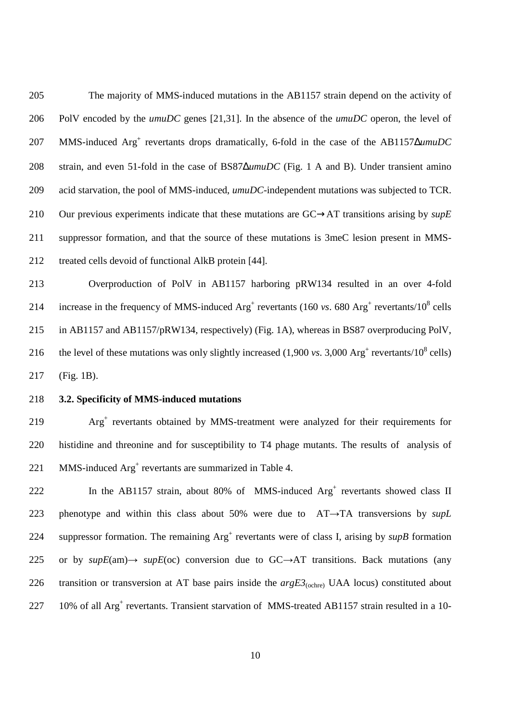205 The majority of MMS-induced mutations in the AB1157 strain depend on the activity of 206 PolV encoded by the *umuDC* genes [21,31]. In the absence of the *umuDC* operon, the level of 207 MMS-induced Arg<sup>+</sup> revertants drops dramatically, 6-fold in the case of the AB1157∆*umuDC* 208 strain, and even 51-fold in the case of BS87∆*umuDC* (Fig. 1 A and B). Under transient amino 209 acid starvation, the pool of MMS-induced, *umuDC*-independent mutations was subjected to TCR. 210 Our previous experiments indicate that these mutations are GC→AT transitions arising by *supE* 211 suppressor formation, and that the source of these mutations is 3meC lesion present in MMS-212 treated cells devoid of functional AlkB protein [44].

213 Overproduction of PolV in AB1157 harboring pRW134 resulted in an over 4-fold 214 increase in the frequency of MMS-induced  $Arg<sup>+</sup>$  revertants (160 *vs*. 680  $Arg<sup>+</sup>$  revertants/10<sup>8</sup> cells 215 in AB1157 and AB1157/pRW134, respectively) (Fig. 1A), whereas in BS87 overproducing PolV, 216 the level of these mutations was only slightly increased  $(1,900 \text{ vs. } 3,000 \text{ Arg}^+$  revertants/ $10^8$  cells) 217 (Fig. 1B).

## 218 **3.2. Specificity of MMS-induced mutations**

219 Arg<sup>+</sup> revertants obtained by MMS-treatment were analyzed for their requirements for 220 histidine and threonine and for susceptibility to T4 phage mutants. The results of analysis of 221 MMS-induced  $Arg<sup>+</sup>$  revertants are summarized in Table 4.

222 In the AB1157 strain, about 80% of MMS-induced  $Arg<sup>+</sup>$  revertants showed class II 223 phenotype and within this class about 50% were due to AT→TA transversions by *supL* 224 suppressor formation. The remaining  $Arg<sup>+</sup>$  revertants were of class I, arising by *supB* formation 225 or by  $supE(am) \rightarrow supE(oc)$  conversion due to  $GC \rightarrow AT$  transitions. Back mutations (any 226 transition or transversion at AT base pairs inside the  $argE3$ <sub>(ochre)</sub> UAA locus) constituted about 227 10% of all Arg<sup>+</sup> revertants. Transient starvation of MMS-treated AB1157 strain resulted in a 10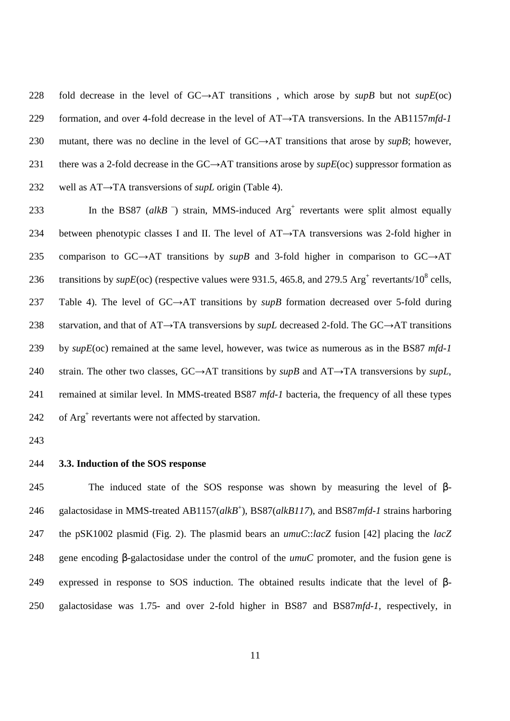228 fold decrease in the level of GC→AT transitions , which arose by *supB* but not *supE*(oc) 229 formation, and over 4-fold decrease in the level of AT→TA transversions. In the AB1157*mfd*-*1* 230 mutant, there was no decline in the level of GC→AT transitions that arose by *supB*; however, 231 there was a 2-fold decrease in the GC→AT transitions arose by *supE*(oc) suppressor formation as 232 well as AT→TA transversions of *supL* origin (Table 4).

233 In the BS87  $(alkB^-$ ) strain, MMS-induced  $Arg^+$  revertants were split almost equally 234 between phenotypic classes I and II. The level of  $AT\rightarrow TA$  transversions was 2-fold higher in 235 comparison to GC→AT transitions by *supB* and 3-fold higher in comparison to GC→AT 236 transitions by  $supE(oc)$  (respective values were 931.5, 465.8, and 279.5 Arg<sup>+</sup> revertants/10<sup>8</sup> cells, 237 Table 4). The level of GC→AT transitions by *supB* formation decreased over 5-fold during 238 starvation, and that of AT→TA transversions by *supL* decreased 2-fold. The GC→AT transitions 239 by *supE*(oc) remained at the same level, however, was twice as numerous as in the BS87 *mfd*-*1* 240 strain. The other two classes, GC→AT transitions by *supB* and AT→TA transversions by *supL*, 241 remained at similar level. In MMS-treated BS87 *mfd*-*1* bacteria, the frequency of all these types 242 of Arg<sup>+</sup> revertants were not affected by starvation.

243

244 **3.3. Induction of the SOS response**

245 The induced state of the SOS response was shown by measuring the level of β-246 galactosidase in MMS-treated AB1157(alkB<sup>+</sup>), BS87(alkB117), and BS87mfd-1 strains harboring 247 the pSK1002 plasmid (Fig. 2). The plasmid bears an *umuC*::*lacZ* fusion [42] placing the *lacZ* 248 gene encoding β-galactosidase under the control of the *umuC* promoter, and the fusion gene is 249 expressed in response to SOS induction. The obtained results indicate that the level of β-250 galactosidase was 1.75- and over 2-fold higher in BS87 and BS87*mfd*-*1*, respectively, in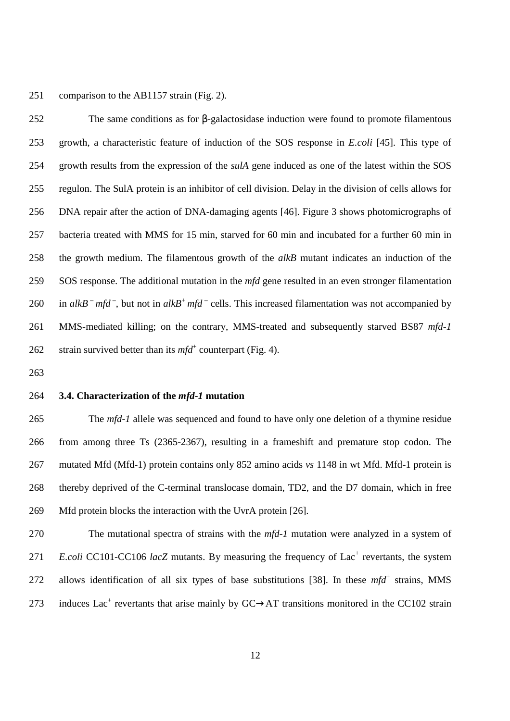251 comparison to the AB1157 strain (Fig. 2).

252 The same conditions as for β-galactosidase induction were found to promote filamentous 253 growth, a characteristic feature of induction of the SOS response in *E.coli* [45]. This type of 254 growth results from the expression of the *sulA* gene induced as one of the latest within the SOS 255 regulon. The SulA protein is an inhibitor of cell division. Delay in the division of cells allows for 256 DNA repair after the action of DNA-damaging agents [46]. Figure 3 shows photomicrographs of 257 bacteria treated with MMS for 15 min, starved for 60 min and incubated for a further 60 min in 258 the growth medium. The filamentous growth of the *alkB* mutant indicates an induction of the 259 SOS response. The additional mutation in the *mfd* gene resulted in an even stronger filamentation 260 in *alkB*  $^-$  *mfd*, but not in *alkB*<sup>+</sup> *mfd*  $^-$  cells. This increased filamentation was not accompanied by 261 MMS-mediated killing; on the contrary, MMS-treated and subsequently starved BS87 *mfd-1* 262 strain survived better than its  $mfd^+$  counterpart (Fig. 4).

263

#### 264 **3.4. Characterization of the** *mfd-1* **mutation**

265 The *mfd-1* allele was sequenced and found to have only one deletion of a thymine residue 266 from among three Ts (2365-2367), resulting in a frameshift and premature stop codon. The 267 mutated Mfd (Mfd-1) protein contains only 852 amino acids *vs* 1148 in wt Mfd. Mfd-1 protein is 268 thereby deprived of the C-terminal translocase domain, TD2, and the D7 domain, which in free 269 Mfd protein blocks the interaction with the UvrA protein [26].

270 The mutational spectra of strains with the *mfd-1* mutation were analyzed in a system of 271 *E.coli* CC101-CC106 *lacZ* mutants. By measuring the frequency of Lac<sup>+</sup> revertants, the system 272 allows identification of all six types of base substitutions [38]. In these  $mfd^+$  strains, MMS 273 induces Lac<sup>+</sup> revertants that arise mainly by  $GC \rightarrow AT$  transitions monitored in the CC102 strain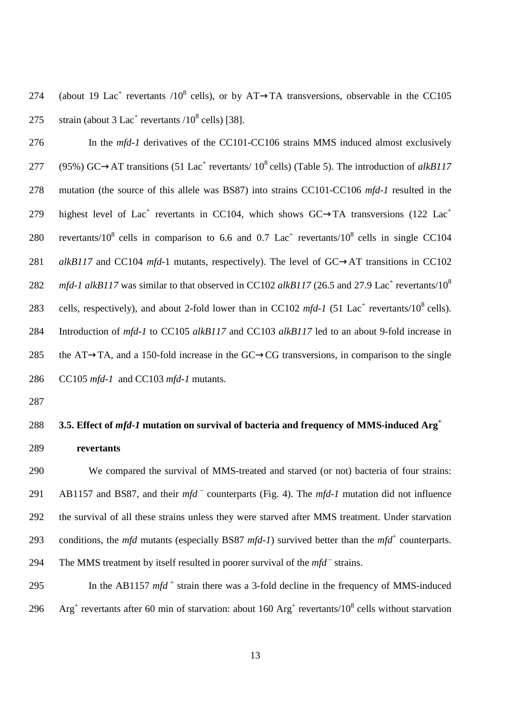274 (about 19 Lac<sup>+</sup> revertants /10<sup>8</sup> cells), or by AT→TA transversions, observable in the CC105 275 strain (about 3 Lac<sup>+</sup> revertants  $/10^8$  cells) [38].

276 In the *mfd-1* derivatives of the CC101-CC106 strains MMS induced almost exclusively 277 (95%) GC→AT transitions (51 Lac<sup>+</sup> revertants/  $10^8$  cells) (Table 5). The introduction of *alkB117* 278 mutation (the source of this allele was BS87) into strains CC101-CC106 *mfd-1* resulted in the highest level of Lac<sup>+</sup> revertants in CC104, which shows GC $\rightarrow$ TA transversions (122 Lac<sup>+</sup> 279 280 revertants/10<sup>8</sup> cells in comparison to 6.6 and 0.7 Lac<sup>+</sup> revertants/10<sup>8</sup> cells in single CC104 281 *alkB117* and CC104 *mfd*-1 mutants, respectively). The level of GC→AT transitions in CC102 282 *mfd-1 alkB117* was similar to that observed in CC102 *alkB117* (26.5 and 27.9 Lac<sup>+</sup> revertants/10<sup>8</sup> 283 cells, respectively), and about 2-fold lower than in CC102  $mfd-1$  (51 Lac<sup>+</sup> revertants/10<sup>8</sup> cells). 284 Introduction of *mfd-1* to CC105 *alkB117* and CC103 *alkB117* led to an about 9-fold increase in 285 the AT $\rightarrow$ TA, and a 150-fold increase in the GC $\rightarrow$ CG transversions, in comparison to the single 286 CC105 *mfd-1* and CC103 *mfd-1* mutants.

287

## **3.5. Effect of** *mfd-1* **mutation on survival of bacteria and frequency of MMS-induced Arg<sup>+</sup>** 288 289 **revertants**

290 We compared the survival of MMS-treated and starved (or not) bacteria of four strains: 291 AB1157 and BS87, and their *mfd* <sup>–</sup> counterparts (Fig. 4). The *mfd-1* mutation did not influence 292 the survival of all these strains unless they were starved after MMS treatment. Under starvation 293 conditions, the *mfd* mutants (especially BS87 *mfd-1*) survived better than the  $mfd$ <sup>+</sup> counterparts. The MMS treatment by itself resulted in poorer survival of the  $mfd^-$  strains.

<sup>295</sup> In the AB1157  $mfd^+$  strain there was a 3-fold decline in the frequency of MMS-induced 296 Arg<sup>+</sup> revertants after 60 min of starvation: about 160 Arg<sup>+</sup> revertants/10<sup>8</sup> cells without starvation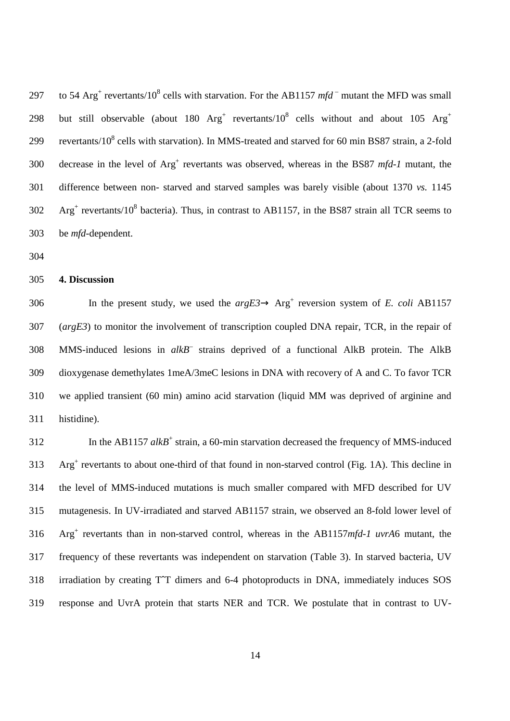297 to 54 Arg<sup>+</sup> revertants/10<sup>8</sup> cells with starvation. For the AB1157  $mfd^-$  mutant the MFD was small but still observable (about 180  $Arg^+$  revertants/10<sup>8</sup> cells without and about 105  $Arg^+$ 298 299 revertants/10<sup>8</sup> cells with starvation). In MMS-treated and starved for 60 min BS87 strain, a 2-fold 300 decrease in the level of Arg<sup>+</sup> revertants was observed, whereas in the BS87 *mfd-1* mutant, the 301 difference between non- starved and starved samples was barely visible (about 1370 *vs.* 1145  $302$  Arg<sup>+</sup> revertants/10<sup>8</sup> bacteria). Thus, in contrast to AB1157, in the BS87 strain all TCR seems to 303 be *mfd*-dependent.

304

#### 305 **4. Discussion**

306 In the present study, we used the  $argE3 \rightarrow Arg^+$  reversion system of *E. coli* AB1157 307 (*argE3*) to monitor the involvement of transcription coupled DNA repair, TCR, in the repair of 308 MMS-induced lesions in alkB<sup>-</sup> strains deprived of a functional AlkB protein. The AlkB 309 dioxygenase demethylates 1meA/3meC lesions in DNA with recovery of A and C. To favor TCR 310 we applied transient (60 min) amino acid starvation (liquid MM was deprived of arginine and 311 histidine).

312 In the AB1157 alkB<sup>+</sup> strain, a 60-min starvation decreased the frequency of MMS-induced 313 Arg<sup>+</sup> revertants to about one-third of that found in non-starved control (Fig. 1A). This decline in 314 the level of MMS-induced mutations is much smaller compared with MFD described for UV 315 mutagenesis. In UV-irradiated and starved AB1157 strain, we observed an 8-fold lower level of Arg<sup>+</sup> 316 revertants than in non-starved control, whereas in the AB1157*mfd*-*1 uvrA*6 mutant, the 317 frequency of these revertants was independent on starvation (Table 3). In starved bacteria, UV 318 irradiation by creating TˆT dimers and 6-4 photoproducts in DNA, immediately induces SOS 319 response and UvrA protein that starts NER and TCR. We postulate that in contrast to UV-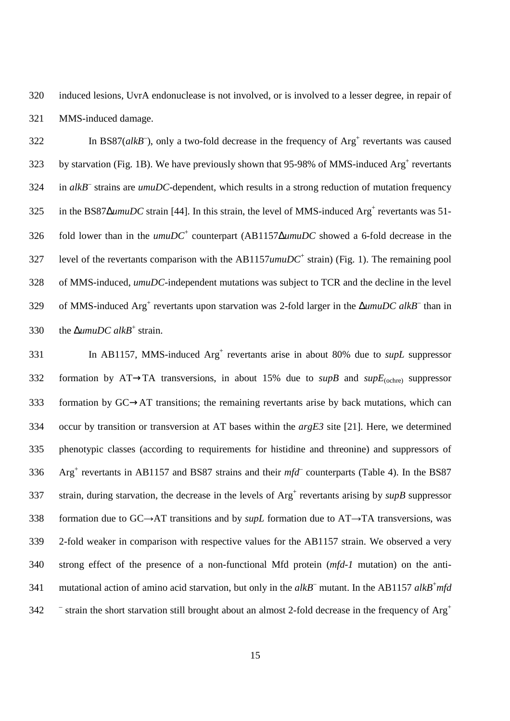320 induced lesions, UvrA endonuclease is not involved, or is involved to a lesser degree, in repair of 321 MMS-induced damage.

 $322$  In BS87( $alkB^-$ ), only a two-fold decrease in the frequency of  $Arg^+$  revertants was caused 323 by starvation (Fig. 1B). We have previously shown that 95-98% of MMS-induced  $\text{Arg}^+$  revertants 324 in *alkB*<sup>–</sup> strains are *umuDC*-dependent, which results in a strong reduction of mutation frequency 325 in the BS87∆*umuDC* strain [44]. In this strain, the level of MMS-induced Arg<sup>+</sup> revertants was 51-326 fold lower than in the *umuDC*<sup>+</sup> counterpart (AB1157∆*umuDC* showed a 6-fold decrease in the 327 level of the revertants comparison with the  $AB1157$ *umuDC*<sup>+</sup> strain) (Fig. 1). The remaining pool 328 of MMS-induced, *umuDC*-independent mutations was subject to TCR and the decline in the level 329 of MMS-induced Arg<sup>+</sup> revertants upon starvation was 2-fold larger in the ∆*umuDC alkB*<sup>–</sup> than in 330 the  $\Delta$ *umuDC alkB*<sup>+</sup> strain.

331 In AB1157, MMS-induced Arg<sup>+</sup> revertants arise in about 80% due to *supL* suppressor 332 formation by AT→TA transversions, in about 15% due to *supB* and *supE*<sub>(ochre)</sub> suppressor 333 formation by GC→AT transitions; the remaining revertants arise by back mutations, which can 334 occur by transition or transversion at AT bases within the *argE3* site [21]. Here, we determined 335 phenotypic classes (according to requirements for histidine and threonine) and suppressors of  $336$  Arg<sup>+</sup> revertants in AB1157 and BS87 strains and their  $mfd^-$  counterparts (Table 4). In the BS87 337 strain, during starvation, the decrease in the levels of  $Arg<sup>+</sup>$  revertants arising by  $supB$  suppressor 338 formation due to GC→AT transitions and by *supL* formation due to AT→TA transversions, was 339 2-fold weaker in comparison with respective values for the AB1157 strain. We observed a very 340 strong effect of the presence of a non-functional Mfd protein (*mfd*-*1* mutation) on the anti-341 mutational action of amino acid starvation, but only in the alkB<sup>-</sup> mutant. In the AB1157 alkB<sup>+</sup>mfd  $\bar{ }$  strain the short starvation still brought about an almost 2-fold decrease in the frequency of Arg<sup>+</sup> 342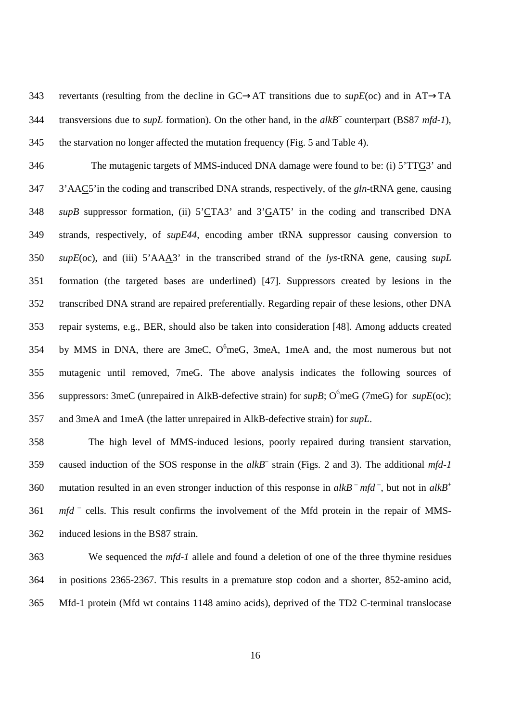343 revertants (resulting from the decline in GC→AT transitions due to *supE*(oc) and in AT→TA 344 transversions due to *supL* formation). On the other hand, in the *alkB*<sup>–</sup> counterpart (BS87 *mfd-1*), 345 the starvation no longer affected the mutation frequency (Fig. 5 and Table 4).

346 The mutagenic targets of MMS-induced DNA damage were found to be: (i) 5'TTG3' and 347 3'AAC5'in the coding and transcribed DNA strands, respectively, of the *gln*-tRNA gene, causing 348 *supB* suppressor formation, (ii) 5'CTA3' and 3'GAT5' in the coding and transcribed DNA 349 strands, respectively, of *supE44*, encoding amber tRNA suppressor causing conversion to 350 *supE*(oc), and (iii) 5'AAA3' in the transcribed strand of the *lys*-tRNA gene, causing *supL* 351 formation (the targeted bases are underlined) [47]. Suppressors created by lesions in the 352 transcribed DNA strand are repaired preferentially. Regarding repair of these lesions, other DNA 353 repair systems, e.g., BER, should also be taken into consideration [48]. Among adducts created 354 by MMS in DNA, there are 3meC,  $O^6$ meG, 3meA, 1meA and, the most numerous but not 355 mutagenic until removed, 7meG. The above analysis indicates the following sources of 356 suppressors: 3meC (unrepaired in AlkB-defective strain) for  $supB$ ;  $O<sup>6</sup>$ meG (7meG) for  $supE(oc)$ ; 357 and 3meA and 1meA (the latter unrepaired in AlkB-defective strain) for *supL*.

358 The high level of MMS-induced lesions, poorly repaired during transient starvation, 359 caused induction of the SOS response in the alkB<sup>-</sup> strain (Figs. 2 and 3). The additional *mfd-1* mutation resulted in an even stronger induction of this response in  $alkB<sup>-</sup> mfd<sup>-</sup>$ , but not in  $alkB<sup>+</sup>$ 360 361 mfd<sup>-</sup> cells. This result confirms the involvement of the Mfd protein in the repair of MMS-362 induced lesions in the BS87 strain.

363 We sequenced the *mfd-1* allele and found a deletion of one of the three thymine residues 364 in positions 2365-2367. This results in a premature stop codon and a shorter, 852-amino acid, 365 Mfd-1 protein (Mfd wt contains 1148 amino acids), deprived of the TD2 C-terminal translocase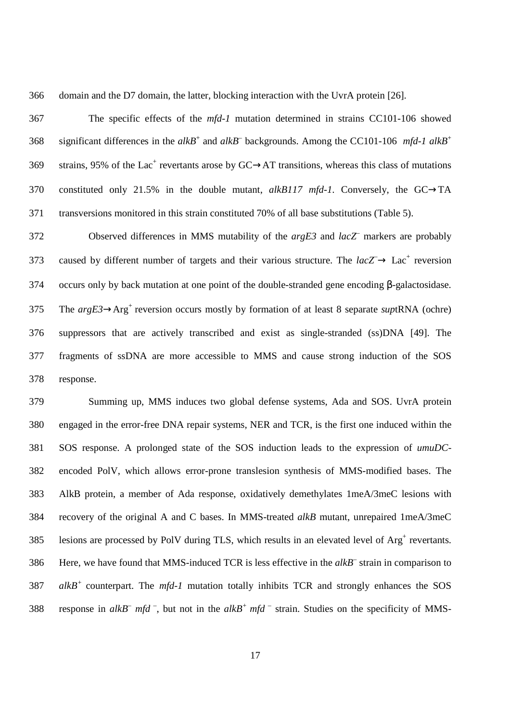366 domain and the D7 domain, the latter, blocking interaction with the UvrA protein [26].

367 The specific effects of the *mfd-1* mutation determined in strains CC101-106 showed significant differences in the  $alkB^+$  and  $alkB^-$  backgrounds. Among the CC101-106 *mfd-1 alkB<sup>+</sup>* 368 369 strains, 95% of the Lac<sup>+</sup> revertants arose by  $GC \rightarrow AT$  transitions, whereas this class of mutations 370 constituted only 21.5% in the double mutant, *alkB117 mfd-1*. Conversely, the GC→TA 371 transversions monitored in this strain constituted 70% of all base substitutions (Table 5).

Observed differences in MMS mutability of the *argE3* and *lacZ*– 372 markers are probably 373 caused by different number of targets and their various structure. The  $lacZ \rightarrow Lac^{+}$  reversion 374 occurs only by back mutation at one point of the double-stranded gene encoding β-galactosidase. The  $argE3 \rightarrow Arg^+$  reversion occurs mostly by formation of at least 8 separate *suptRNA* (ochre) 376 suppressors that are actively transcribed and exist as single-stranded (ss)DNA [49]. The 377 fragments of ssDNA are more accessible to MMS and cause strong induction of the SOS 378 response.

379 Summing up, MMS induces two global defense systems, Ada and SOS. UvrA protein 380 engaged in the error-free DNA repair systems, NER and TCR, is the first one induced within the 381 SOS response. A prolonged state of the SOS induction leads to the expression of *umuDC*-382 encoded PolV, which allows error-prone translesion synthesis of MMS-modified bases. The 383 AlkB protein, a member of Ada response, oxidatively demethylates 1meA/3meC lesions with 384 recovery of the original A and C bases. In MMS-treated *alkB* mutant, unrepaired 1meA/3meC 385 lesions are processed by PolV during TLS, which results in an elevated level of  $Arg<sup>+</sup>$  revertants. 386 Here, we have found that MMS-induced TCR is less effective in the *alkB*<sup>-</sup> strain in comparison to  $387$  *alkB<sup>+</sup>* counterpart. The *mfd-1* mutation totally inhibits TCR and strongly enhances the SOS 388 response in  $alkB^-$  *mfd*<sup>-</sup>, but not in the  $alkB^+$  *mfd*<sup>-</sup> strain. Studies on the specificity of MMS-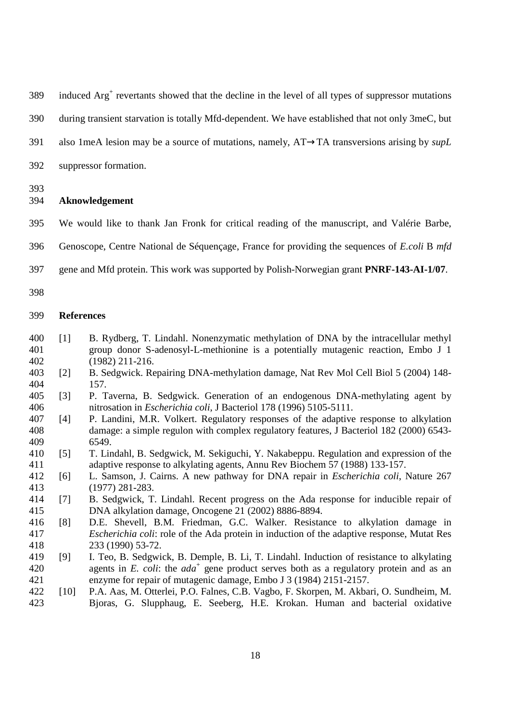389 induced Arg<sup>+</sup> revertants showed that the decline in the level of all types of suppressor mutations

390 during transient starvation is totally Mfd-dependent. We have established that not only 3meC, but

- 391 also 1meA lesion may be a source of mutations, namely, AT→TA transversions arising by *supL*
- 392 suppressor formation.

393

### 394 **Aknowledgement**

- 395 We would like to thank Jan Fronk for critical reading of the manuscript, and Valérie Barbe,
- 396 Genoscope, Centre National de Séquençage, France for providing the sequences of *E.coli* B *mfd*
- 397 gene and Mfd protein. This work was supported by Polish-Norwegian grant **PNRF-143-AI-1/07**.
- 398

# 399 **References**

- 400 [1] B. Rydberg, T. Lindahl. Nonenzymatic methylation of DNA by the intracellular methyl 401 group donor S-adenosyl-L-methionine is a potentially mutagenic reaction, Embo J 1 402 (1982) 211-216.
- 403 [2] B. Sedgwick. Repairing DNA-methylation damage, Nat Rev Mol Cell Biol 5 (2004) 148- 404 157.
- 405 [3] P. Taverna, B. Sedgwick. Generation of an endogenous DNA-methylating agent by 406 nitrosation in *Escherichia coli*, J Bacteriol 178 (1996) 5105-5111.
- 407 [4] P. Landini, M.R. Volkert. Regulatory responses of the adaptive response to alkylation 408 damage: a simple regulon with complex regulatory features, J Bacteriol 182 (2000) 6543- 409 6549.
- 410 [5] T. Lindahl, B. Sedgwick, M. Sekiguchi, Y. Nakabeppu. Regulation and expression of the 411 adaptive response to alkylating agents, Annu Rev Biochem 57 (1988) 133-157.
- 412 [6] L. Samson, J. Cairns. A new pathway for DNA repair in *Escherichia coli*, Nature 267 413 (1977) 281-283.
- 414 [7] B. Sedgwick, T. Lindahl. Recent progress on the Ada response for inducible repair of 415 DNA alkylation damage, Oncogene 21 (2002) 8886-8894.
- 416 [8] D.E. Shevell, B.M. Friedman, G.C. Walker. Resistance to alkylation damage in 417 *Escherichia coli*: role of the Ada protein in induction of the adaptive response, Mutat Res 418 233 (1990) 53-72.
- 419 [9] I. Teo, B. Sedgwick, B. Demple, B. Li, T. Lindahl. Induction of resistance to alkylating 420 agents in *E. coli*: the  $ada^+$  gene product serves both as a regulatory protein and as an 421 enzyme for repair of mutagenic damage, Embo J 3 (1984) 2151-2157.
- 422 [10] P.A. Aas, M. Otterlei, P.O. Falnes, C.B. Vagbo, F. Skorpen, M. Akbari, O. Sundheim, M. 423 Bjoras, G. Slupphaug, E. Seeberg, H.E. Krokan. Human and bacterial oxidative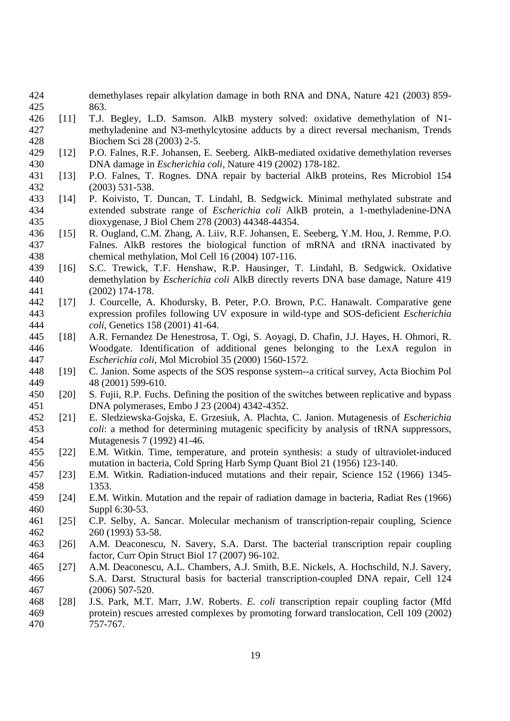- 424 demethylases repair alkylation damage in both RNA and DNA, Nature 421 (2003) 859- 425 863.
- 426 [11] T.J. Begley, L.D. Samson. AlkB mystery solved: oxidative demethylation of N1- 427 methyladenine and N3-methylcytosine adducts by a direct reversal mechanism, Trends 428 Biochem Sci 28 (2003) 2-5.
- 429 [12] P.O. Falnes, R.F. Johansen, E. Seeberg. AlkB-mediated oxidative demethylation reverses 430 DNA damage in *Escherichia coli*, Nature 419 (2002) 178-182.
- 431 [13] P.O. Falnes, T. Rognes. DNA repair by bacterial AlkB proteins, Res Microbiol 154 432 (2003) 531-538.
- 433 [14] P. Koivisto, T. Duncan, T. Lindahl, B. Sedgwick. Minimal methylated substrate and 434 extended substrate range of *Escherichia coli* AlkB protein, a 1-methyladenine-DNA 435 dioxygenase, J Biol Chem 278 (2003) 44348-44354.
- 436 [15] R. Ougland, C.M. Zhang, A. Liiv, R.F. Johansen, E. Seeberg, Y.M. Hou, J. Remme, P.O. 437 Falnes. AlkB restores the biological function of mRNA and tRNA inactivated by 438 chemical methylation, Mol Cell 16 (2004) 107-116.
- 439 [16] S.C. Trewick, T.F. Henshaw, R.P. Hausinger, T. Lindahl, B. Sedgwick. Oxidative 440 demethylation by *Escherichia coli* AlkB directly reverts DNA base damage, Nature 419 441 (2002) 174-178.
- 442 [17] J. Courcelle, A. Khodursky, B. Peter, P.O. Brown, P.C. Hanawalt. Comparative gene 443 expression profiles following UV exposure in wild-type and SOS-deficient *Escherichia*  444 *coli*, Genetics 158 (2001) 41-64.
- 445 [18] A.R. Fernandez De Henestrosa, T. Ogi, S. Aoyagi, D. Chafin, J.J. Hayes, H. Ohmori, R. 446 Woodgate. Identification of additional genes belonging to the LexA regulon in 447 *Escherichia coli*, Mol Microbiol 35 (2000) 1560-1572.
- 448 [19] C. Janion. Some aspects of the SOS response system--a critical survey, Acta Biochim Pol 449 48 (2001) 599-610.
- 450 [20] S. Fujii, R.P. Fuchs. Defining the position of the switches between replicative and bypass 451 DNA polymerases, Embo J 23 (2004) 4342-4352.
- 452 [21] E. Sledziewska-Gojska, E. Grzesiuk, A. Plachta, C. Janion. Mutagenesis of *Escherichia*  453 *coli*: a method for determining mutagenic specificity by analysis of tRNA suppressors, 454 Mutagenesis 7 (1992) 41-46.
- 455 [22] E.M. Witkin. Time, temperature, and protein synthesis: a study of ultraviolet-induced 456 mutation in bacteria, Cold Spring Harb Symp Quant Biol 21 (1956) 123-140.
- 457 [23] E.M. Witkin. Radiation-induced mutations and their repair, Science 152 (1966) 1345- 458 1353.
- 459 [24] E.M. Witkin. Mutation and the repair of radiation damage in bacteria, Radiat Res (1966) 460 Suppl 6:30-53.
- 461 [25] C.P. Selby, A. Sancar. Molecular mechanism of transcription-repair coupling, Science 462 260 (1993) 53-58.
- 463 [26] A.M. Deaconescu, N. Savery, S.A. Darst. The bacterial transcription repair coupling 464 factor, Curr Opin Struct Biol 17 (2007) 96-102.
- 465 [27] A.M. Deaconescu, A.L. Chambers, A.J. Smith, B.E. Nickels, A. Hochschild, N.J. Savery, 466 S.A. Darst. Structural basis for bacterial transcription-coupled DNA repair, Cell 124 467 (2006) 507-520.
- 468 [28] J.S. Park, M.T. Marr, J.W. Roberts. *E. coli* transcription repair coupling factor (Mfd 469 protein) rescues arrested complexes by promoting forward translocation, Cell 109 (2002) 470 757-767.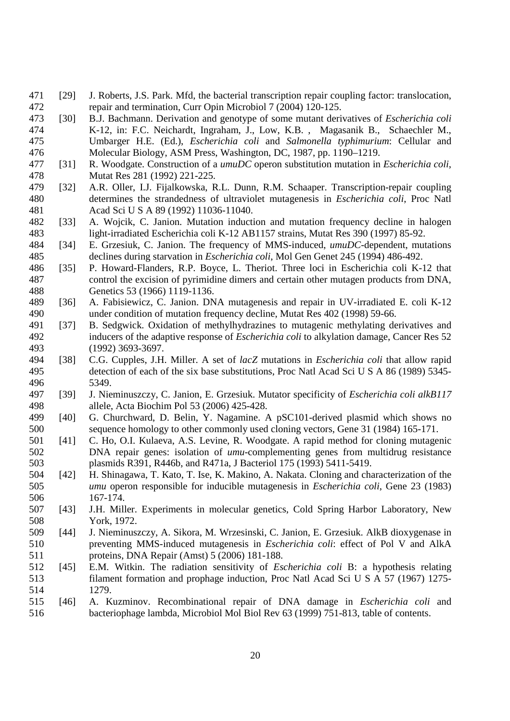- 471 [29] J. Roberts, J.S. Park. Mfd, the bacterial transcription repair coupling factor: translocation, 472 repair and termination, Curr Opin Microbiol 7 (2004) 120-125.
- 473 [30] B.J. Bachmann. Derivation and genotype of some mutant derivatives of *Escherichia coli* 474 K-12, in: F.C. Neichardt, Ingraham, J., Low, K.B. , Magasanik B., Schaechler M., 475 Umbarger H.E. (Ed.), *Escherichia coli* and *Salmonella typhimurium*: Cellular and 476 Molecular Biology, ASM Press, Washington, DC, 1987, pp. 1190–1219.
- 477 [31] R. Woodgate. Construction of a *umuDC* operon substitution mutation in *Escherichia coli*, 478 Mutat Res 281 (1992) 221-225.
- 479 [32] A.R. Oller, I.J. Fijalkowska, R.L. Dunn, R.M. Schaaper. Transcription-repair coupling 480 determines the strandedness of ultraviolet mutagenesis in *Escherichia coli*, Proc Natl 481 Acad Sci U S A 89 (1992) 11036-11040.
- 482 [33] A. Wojcik, C. Janion. Mutation induction and mutation frequency decline in halogen 483 light-irradiated Escherichia coli K-12 AB1157 strains, Mutat Res 390 (1997) 85-92.
- 484 [34] E. Grzesiuk, C. Janion. The frequency of MMS-induced, *umuDC*-dependent, mutations 485 declines during starvation in *Escherichia coli*, Mol Gen Genet 245 (1994) 486-492.
- 486 [35] P. Howard-Flanders, R.P. Boyce, L. Theriot. Three loci in Escherichia coli K-12 that 487 control the excision of pyrimidine dimers and certain other mutagen products from DNA, 488 Genetics 53 (1966) 1119-1136.
- 489 [36] A. Fabisiewicz, C. Janion. DNA mutagenesis and repair in UV-irradiated E. coli K-12 490 under condition of mutation frequency decline, Mutat Res 402 (1998) 59-66.
- 491 [37] B. Sedgwick. Oxidation of methylhydrazines to mutagenic methylating derivatives and 492 inducers of the adaptive response of *Escherichia coli* to alkylation damage, Cancer Res 52 493 (1992) 3693-3697.
- 494 [38] C.G. Cupples, J.H. Miller. A set of *lacZ* mutations in *Escherichia coli* that allow rapid 495 detection of each of the six base substitutions, Proc Natl Acad Sci U S A 86 (1989) 5345- 496 5349.
- 497 [39] J. Nieminuszczy, C. Janion, E. Grzesiuk. Mutator specificity of *Escherichia coli alkB117*  498 allele, Acta Biochim Pol 53 (2006) 425-428.
- 499 [40] G. Churchward, D. Belin, Y. Nagamine. A pSC101-derived plasmid which shows no 500 sequence homology to other commonly used cloning vectors, Gene 31 (1984) 165-171.
- 501 [41] C. Ho, O.I. Kulaeva, A.S. Levine, R. Woodgate. A rapid method for cloning mutagenic 502 DNA repair genes: isolation of *umu*-complementing genes from multidrug resistance 503 plasmids R391, R446b, and R471a, J Bacteriol 175 (1993) 5411-5419.
- 504 [42] H. Shinagawa, T. Kato, T. Ise, K. Makino, A. Nakata. Cloning and characterization of the 505 *umu* operon responsible for inducible mutagenesis in *Escherichia coli*, Gene 23 (1983) 506 167-174.
- 507 [43] J.H. Miller. Experiments in molecular genetics, Cold Spring Harbor Laboratory, New 508 York, 1972.
- 509 [44] J. Nieminuszczy, A. Sikora, M. Wrzesinski, C. Janion, E. Grzesiuk. AlkB dioxygenase in 510 preventing MMS-induced mutagenesis in *Escherichia coli*: effect of Pol V and AlkA 511 proteins, DNA Repair (Amst) 5 (2006) 181-188.
- 512 [45] E.M. Witkin. The radiation sensitivity of *Escherichia coli* B: a hypothesis relating 513 filament formation and prophage induction, Proc Natl Acad Sci U S A 57 (1967) 1275- 514 1279.
- 515 [46] A. Kuzminov. Recombinational repair of DNA damage in *Escherichia coli* and 516 bacteriophage lambda, Microbiol Mol Biol Rev 63 (1999) 751-813, table of contents.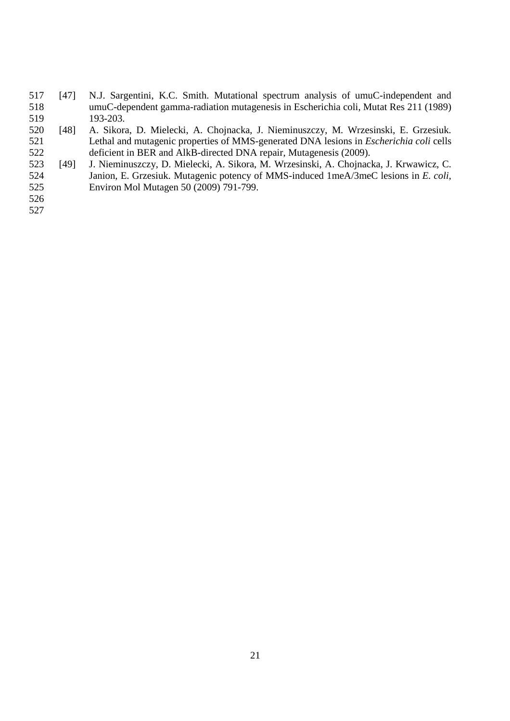- 517 [47] N.J. Sargentini, K.C. Smith. Mutational spectrum analysis of umuC-independent and 518 umuC-dependent gamma-radiation mutagenesis in Escherichia coli, Mutat Res 211 (1989) 519 193-203.
- 520 [48] A. Sikora, D. Mielecki, A. Chojnacka, J. Nieminuszczy, M. Wrzesinski, E. Grzesiuk. 521 Lethal and mutagenic properties of MMS-generated DNA lesions in *Escherichia coli* cells 522 deficient in BER and AlkB-directed DNA repair, Mutagenesis (2009).
- 523 [49] J. Nieminuszczy, D. Mielecki, A. Sikora, M. Wrzesinski, A. Chojnacka, J. Krwawicz, C. 524 Janion, E. Grzesiuk. Mutagenic potency of MMS-induced 1meA/3meC lesions in *E. coli,* 525 Environ Mol Mutagen 50 (2009) 791-799.
- 526
- 527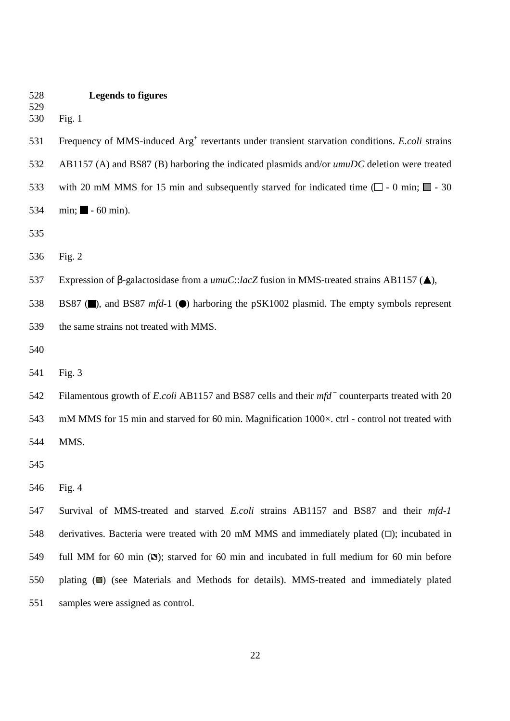| 528 | <b>Legends to figures</b> |  |
|-----|---------------------------|--|
|-----|---------------------------|--|

530 Fig. 1

529

531 Frequency of MMS-induced Arg<sup>+</sup> revertants under transient starvation conditions. *E.coli* strains 532 AB1157 (A) and BS87 (B) harboring the indicated plasmids and/or *umuDC* deletion were treated 533 with 20 mM MMS for 15 min and subsequently starved for indicated time  $(\Box - 0 \text{ min}; \Box - 30 \text{ min})$ 534 min;  $\blacksquare$  - 60 min).

535

536 Fig. 2

537 Expression of β-galactosidase from a *umuC*::*lacZ* fusion in MMS-treated strains AB1157 ( ),

538 BS87 (**I**), and BS87 *mfd*-1 (**O**) harboring the pSK1002 plasmid. The empty symbols represent 539 the same strains not treated with MMS.

540

541 Fig. 3

542 Filamentous growth of *E.coli* AB1157 and BS87 cells and their *mfd* counterparts treated with 20 543 mM MMS for 15 min and starved for 60 min. Magnification 1000 $\times$ . ctrl - control not treated with 544 MMS.

545

546 Fig. 4

547 Survival of MMS-treated and starved *E.coli* strains AB1157 and BS87 and their *mfd-1* 548 derivatives. Bacteria were treated with 20 mM MMS and immediately plated  $(D)$ ; incubated in 549 full MM for 60 min  $(\mathbb{S})$ ; starved for 60 min and incubated in full medium for 60 min before 550 plating (**a)** (see Materials and Methods for details). MMS-treated and immediately plated 551 samples were assigned as control.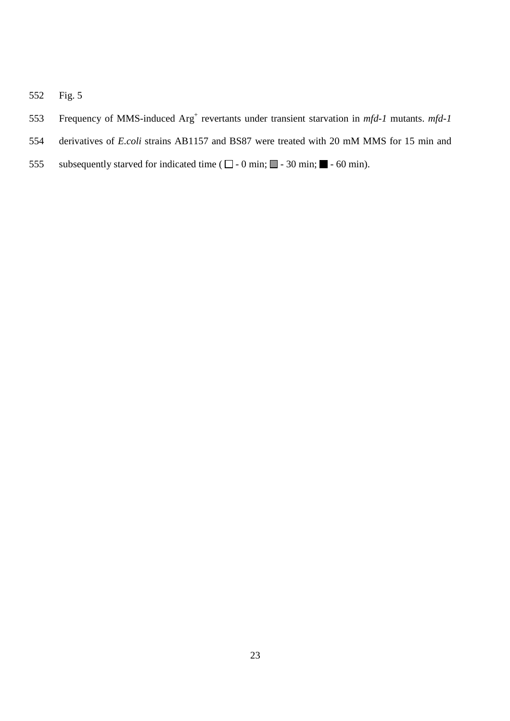- 552 Fig. 5
- 553 Frequency of MMS-induced Arg<sup>+</sup> revertants under transient starvation in *mfd-1* mutants. *mfd-1*
- 554 derivatives of *E.coli* strains AB1157 and BS87 were treated with 20 mM MMS for 15 min and
- 555 subsequently starved for indicated time ( $\square$  0 min;  $\square$  30 min;  $\square$  60 min).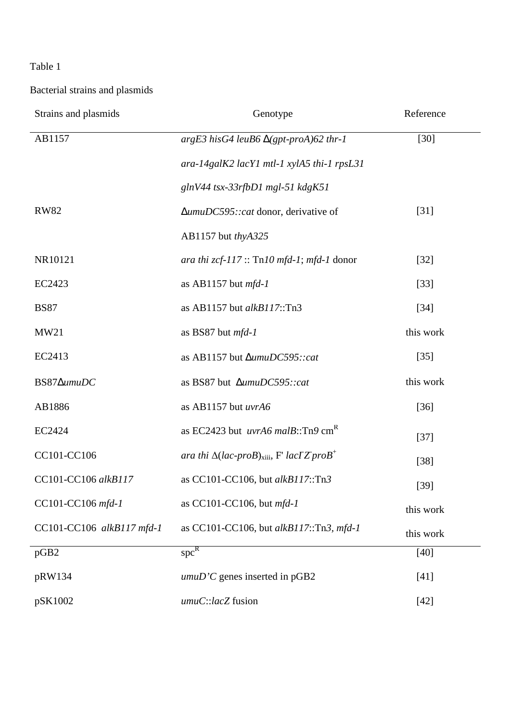Bacterial strains and plasmids

| Strains and plasmids      | Genotype                                                                  | Reference |
|---------------------------|---------------------------------------------------------------------------|-----------|
| AB1157                    | $argE3$ his G4 leuB6 $\Delta(gpt$ -proA)62 thr-1                          | $[30]$    |
|                           | ara-14galK2 lacY1 mtl-1 xylA5 thi-1 rpsL31                                |           |
|                           | glnV44 tsx-33rfbD1 mgl-51 kdgK51                                          |           |
| <b>RW82</b>               | ∆umuDC595::cat donor, derivative of                                       | $[31]$    |
|                           | AB1157 but thyA325                                                        |           |
| NR10121                   | ara thi $zcf-117$ :: Tn10 mfd-1; mfd-1 donor                              | $[32]$    |
| EC2423                    | as AB1157 but $mfd-1$                                                     | $[33]$    |
| <b>BS87</b>               | as AB1157 but $alkB117::Tn3$                                              | $[34]$    |
| MW21                      | as BS87 but mfd-1                                                         | this work |
| EC2413                    | as AB1157 but ∆umuDC595::cat                                              | $[35]$    |
| BS87 $\Delta$ umuDC       | as BS87 but ∆umuDC595::cat                                                | this work |
| AB1886                    | as AB1157 but uvrA6                                                       | $[36]$    |
| EC2424                    | as EC2423 but <i>uvrA6 malB</i> ::Tn9 cm <sup>R</sup>                     | $[37]$    |
| CC101-CC106               | ara thi $\Delta (lac$ -proB) <sub>xiii</sub> , F' lacIZ proB <sup>+</sup> | $[38]$    |
| CC101-CC106 alkB117       | as CC101-CC106, but alkB117::Tn3                                          | $[39]$    |
| CC101-CC106 mfd-1         | as CC101-CC106, but $mfd-1$                                               | this work |
| CC101-CC106 alkB117 mfd-1 | as CC101-CC106, but alkB117::Tn3, mfd-1                                   | this work |
| pGB2                      | $spc^R$                                                                   | $[40]$    |
| pRW134                    | $umuD'C$ genes inserted in pGB2                                           | $[41]$    |
| pSK1002                   | umuC::lacZ fusion                                                         | $[42]$    |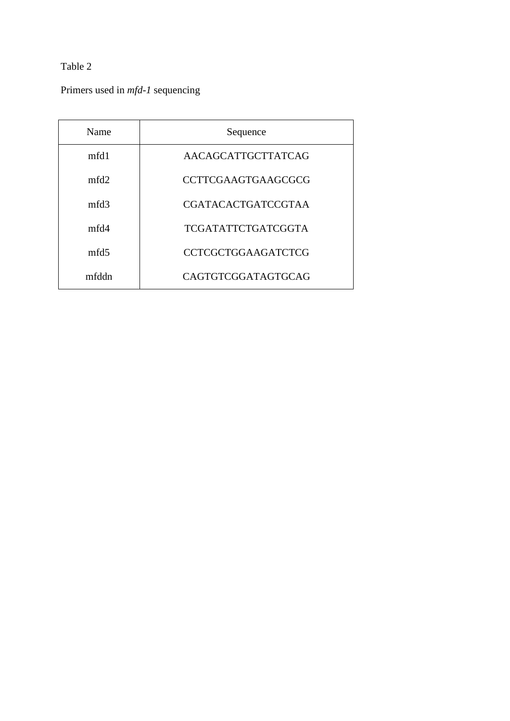Primers used in *mfd-1* sequencing

| Name             | Sequence                  |
|------------------|---------------------------|
| mfd1             | AACAGCATTGCTTATCAG        |
| mfd2             | <b>CCTTCGAAGTGAAGCGCG</b> |
| mfd3             | <b>CGATACACTGATCCGTAA</b> |
| mfd4             | <b>TCGATATTCTGATCGGTA</b> |
| mfd <sub>5</sub> | <b>CCTCGCTGGAAGATCTCG</b> |
| mfddn            | CAGTGTCGGATAGTGCAG        |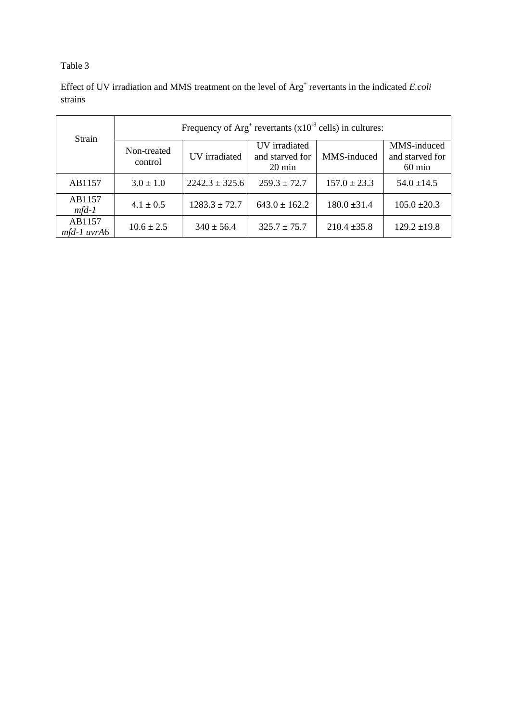Effect of UV irradiation and MMS treatment on the level of Arg<sup>+</sup> revertants in the indicated *E.coli* strains

| Strain                | Frequency of $Arg^+$ revertants $(x10^{-8}$ cells) in cultures: |                    |                                                      |                  |                                                    |  |  |  |  |
|-----------------------|-----------------------------------------------------------------|--------------------|------------------------------------------------------|------------------|----------------------------------------------------|--|--|--|--|
|                       | Non-treated<br>control                                          | UV irradiated      | UV irradiated<br>and starved for<br>$20 \text{ min}$ | MMS-induced      | MMS-induced<br>and starved for<br>$60 \text{ min}$ |  |  |  |  |
| AB1157                | $3.0 \pm 1.0$                                                   | $2242.3 \pm 325.6$ | $259.3 \pm 72.7$                                     | $157.0 \pm 23.3$ | $54.0 \pm 14.5$                                    |  |  |  |  |
| AB1157<br>$mfd-1$     | $4.1 \pm 0.5$                                                   | $1283.3 \pm 72.7$  | $643.0 \pm 162.2$                                    | $180.0 \pm 31.4$ | $105.0 \pm 20.3$                                   |  |  |  |  |
| AB1157<br>mfd-1 uvrA6 | $10.6 \pm 2.5$                                                  | $340 \pm 56.4$     | $325.7 \pm 75.7$                                     | $210.4 \pm 35.8$ | $129.2 \pm 19.8$                                   |  |  |  |  |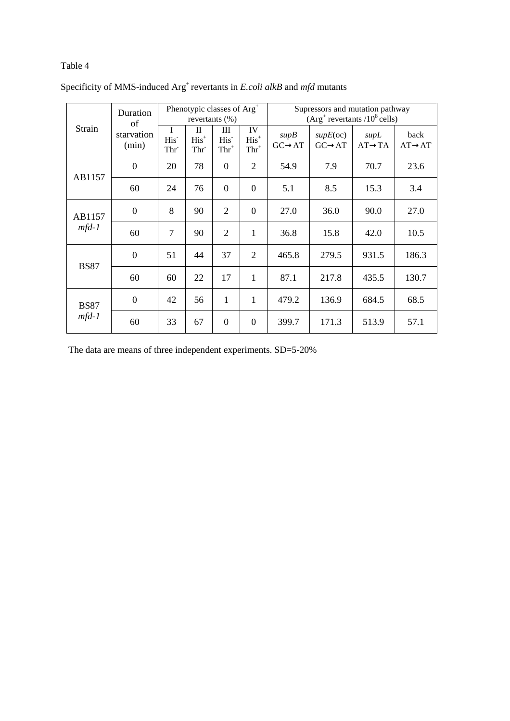|             | Duration<br>of      | Phenotypic classes of Arg <sup>+</sup><br>revertants $(\%)$ |                                            |                                  | Supressors and mutation pathway<br>$(Arg^+$ revertants /10 <sup>8</sup> cells) |                               |                                 |                             |                             |
|-------------|---------------------|-------------------------------------------------------------|--------------------------------------------|----------------------------------|--------------------------------------------------------------------------------|-------------------------------|---------------------------------|-----------------------------|-----------------------------|
| Strain      | starvation<br>(min) | T<br>His <sup>-</sup><br>Thr <sup>-</sup>                   | $\mathbf{I}$<br>$His+$<br>Thr <sup>-</sup> | Ш<br>His <sup>-</sup><br>$Thr^+$ | IV<br>$His+$<br>$Thr^+$                                                        | supB<br>$G C \rightarrow A T$ | supE(oc)<br>$GC \rightarrow AT$ | supL<br>$AT \rightarrow TA$ | back<br>$AT \rightarrow AT$ |
| AB1157      | $\theta$            | 20                                                          | 78                                         | $\overline{0}$                   | $\overline{2}$                                                                 | 54.9                          | 7.9                             | 70.7                        | 23.6                        |
|             | 60                  | 24                                                          | 76                                         | $\boldsymbol{0}$                 | $\overline{0}$                                                                 | 5.1                           | 8.5                             | 15.3                        | 3.4                         |
| AB1157      | $\mathbf{0}$        | 8                                                           | 90                                         | 2                                | $\Omega$                                                                       | 27.0                          | 36.0                            | 90.0                        | 27.0                        |
| $mfd-1$     | 60                  | $\overline{7}$                                              | 90                                         | 2                                | 1                                                                              | 36.8                          | 15.8                            | 42.0                        | 10.5                        |
|             | $\mathbf{0}$        | 51                                                          | 44                                         | 37                               | $\overline{2}$                                                                 | 465.8                         | 279.5                           | 931.5                       | 186.3                       |
| <b>BS87</b> | 60                  | 60                                                          | 22                                         | 17                               | 1                                                                              | 87.1                          | 217.8                           | 435.5                       | 130.7                       |
| <b>BS87</b> | $\overline{0}$      | 42                                                          | 56                                         | $\mathbf{1}$                     | 1                                                                              | 479.2                         | 136.9                           | 684.5                       | 68.5                        |
| $mfd-1$     | 60                  | 33                                                          | 67                                         | $\mathbf{0}$                     | $\theta$                                                                       | 399.7                         | 171.3                           | 513.9                       | 57.1                        |

Specificity of MMS-induced Arg<sup>+</sup>revertants in *E.coli alkB* and *mfd* mutants

The data are means of three independent experiments. SD=5-20%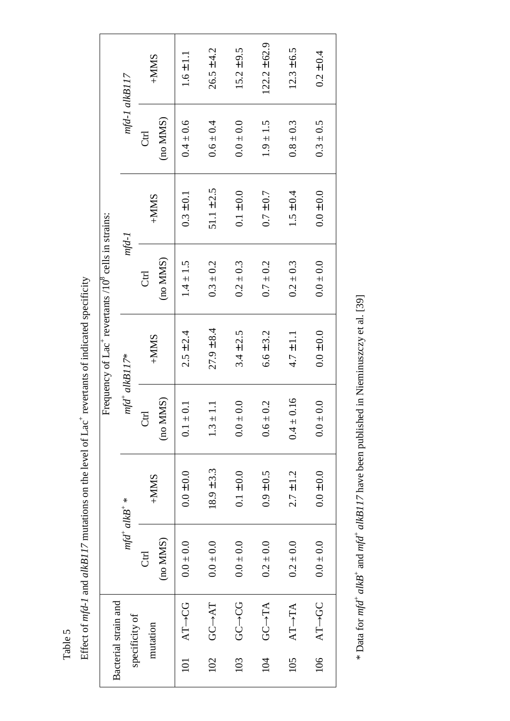Effect of mfd-1 and alkB117 mutations on the level of Lac<sup>+</sup> revertants of indicated specificity Effect of *mfd-1* and *alkB117* mutations on the level of Lac<sup>+</sup> revertants of indicated specificity

|     | Bacterial strain and  |               |                |                          |                | Frequency of Lac <sup>+</sup> revertants /10 <sup>8</sup> cells in strains: |                |               |                   |
|-----|-----------------------|---------------|----------------|--------------------------|----------------|-----------------------------------------------------------------------------|----------------|---------------|-------------------|
|     | specificity of        | $mfd^+alkB^*$ |                | $mfd^{\dagger}$ alkB117* |                | $mfd-1$                                                                     |                |               | $mfd-1$ $alkB117$ |
|     | mutation              | <b>Ctrl</b>   | $+MMAS$        | đ                        | $+MMSS$        | <b>Ctrl</b>                                                                 | $+MMS$         | <b>Ctrl</b>   | $+MMS$            |
|     |                       | (no MMS)      |                | (no MMS)                 |                | (no MMS)                                                                    |                | (no MMS)      |                   |
| 101 | AT-+CG                | $0.0 \pm 0.0$ | $0.0 \pm 0.0$  | $0.1 \pm 0.1$            | $2.5 \pm 2.4$  | $1.4 \pm 1.5$                                                               | $0.3 \pm 0.1$  | $0.4 \pm 0.6$ | $1.6 \pm 1.1$     |
| 102 | GC-+AT                | $0.0 \pm 0.0$ | $18.9 \pm 3.3$ | $\Xi$<br>$1.3 +$         | $27.9 \pm 8.4$ | $0.3 \pm 0.2$                                                               | $51.1 \pm 2.5$ | $0.6 \pm 0.4$ | $26.5 \pm 4.2$    |
| 103 | <b>CO-CG</b>          | $0.0 \pm 0.0$ | $0.1 \pm 0.0$  | $0.0 \pm 0.0$            | $3.4 \pm 2.5$  | $0.2 \pm 0.3$                                                               | $0.1 \pm 0.0$  | $0.0 \pm 0.0$ | $15.2 \pm 9.5$    |
| 104 | $G C \rightarrow T A$ | $0.2 \pm 0.0$ | $0.9 \pm 0.5$  | $0.6 \pm 0.2$            | $6.6 \pm 3.2$  | $0.7 \pm 0.2$                                                               | $0.7 \pm 0.7$  | $1.9 \pm 1.5$ | $122.2 \pm 62.9$  |
| 105 | $AT\rightarrow TA$    | $0.2 \pm 0.0$ | $2.7 \pm 1.2$  | 0.16<br>$\frac{1}{4}$    | $4.7 \pm 1.1$  | $0.2 \pm 0.3$                                                               | $1.5 \pm 0.4$  | $0.8 \pm 0.3$ | $12.3 \pm 6.5$    |
| 106 | AT-+GC                | $0.0 \pm 0.0$ | $0.0 \pm 0.0$  | $0.0 \pm 0.0$            | $0.0 \pm 0.0$  | $0.0 \pm 0.0$                                                               | $0.0 \pm 0.0$  | $0.3 \pm 0.5$ | $0.2 \pm 0.4$     |

\* Data for  $mfd^+$  alkB<sup>+</sup> and  $mfd^+$  alkB117 have been published in Nieminuszczy et al. [39] \* Data for *mfd*+ *alkB*+ and *mfd*+ *alkB117* have been published in Nieminuszczy et al. [39]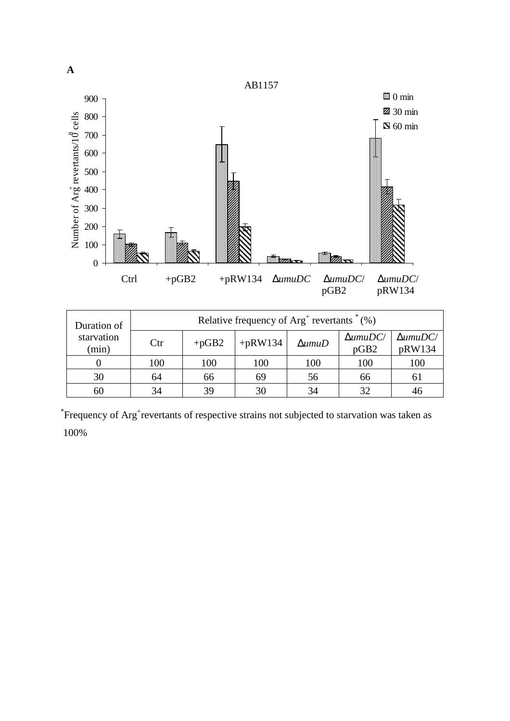

| Duration of         | Relative frequency of $Arg+$ revertants $*(\%)$ |         |           |                  |                         |                           |  |
|---------------------|-------------------------------------------------|---------|-----------|------------------|-------------------------|---------------------------|--|
| starvation<br>(min) | $_{\rm Ctr}$                                    | $+pGB2$ | $+pRW134$ | $\Delta$ umu $D$ | $\Delta$ umuDC/<br>pGB2 | $\Delta$ umuDC/<br>pRW134 |  |
|                     | 100                                             | 100     | 100       | 100              | 100                     | 100                       |  |
| 30                  | 64                                              | 66      | 69        | 56               | 66                      | 61                        |  |
| 60                  | 34                                              | 39      | 30        | 34               |                         |                           |  |

\*Frequency of Arg<sup>+</sup>revertants of respective strains not subjected to starvation was taken as 100%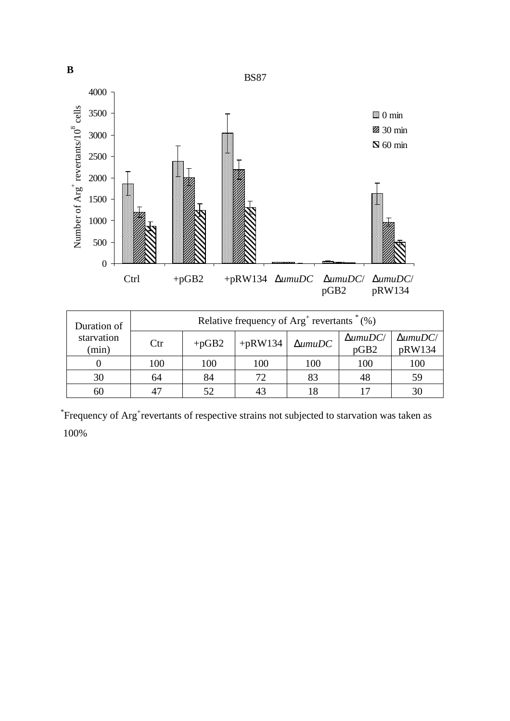

| Relative frequency of $Arg+$ revertants $*(\%)$<br>Duration of |              |         |           |                |                             |                           |
|----------------------------------------------------------------|--------------|---------|-----------|----------------|-----------------------------|---------------------------|
| starvation<br>(min)                                            | $_{\rm Ctr}$ | $+pGB2$ | $+pRW134$ | $\Delta$ umuDC | $\Delta$ umu $DC$ /<br>pGB2 | $\Delta$ umuDC/<br>pRW134 |
|                                                                | 100          | 100     | 100       | 100            | 100                         | 100                       |
| 30                                                             | 64           | 84      | 72        | 83             | 48                          | 59                        |
| 60                                                             | 47           | 52      | 43        |                |                             |                           |

\*Frequency of Arg<sup>+</sup>revertants of respective strains not subjected to starvation was taken as 100%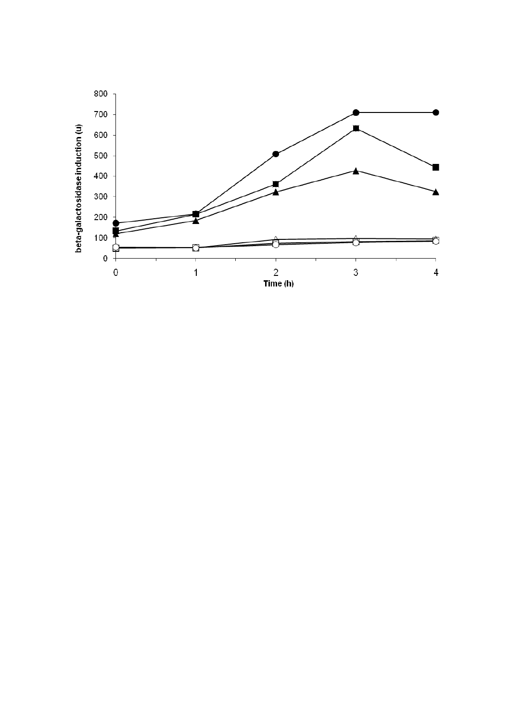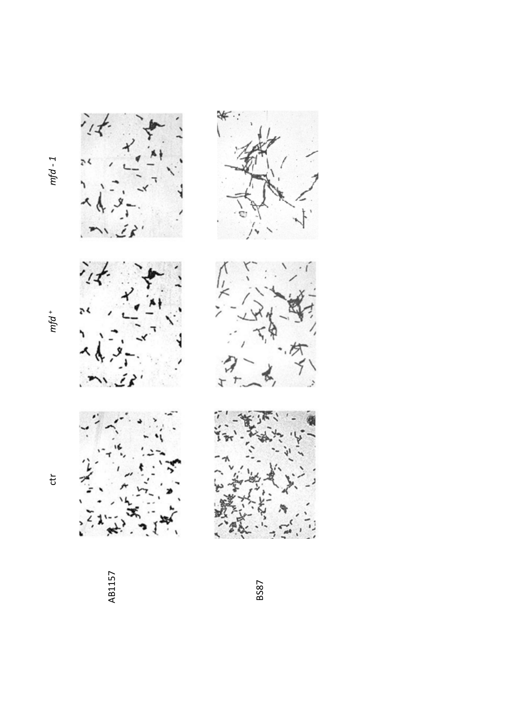$7.7$ 

 $mfd^+$ 

 $\ddot{t}$ 



AB1157

BS87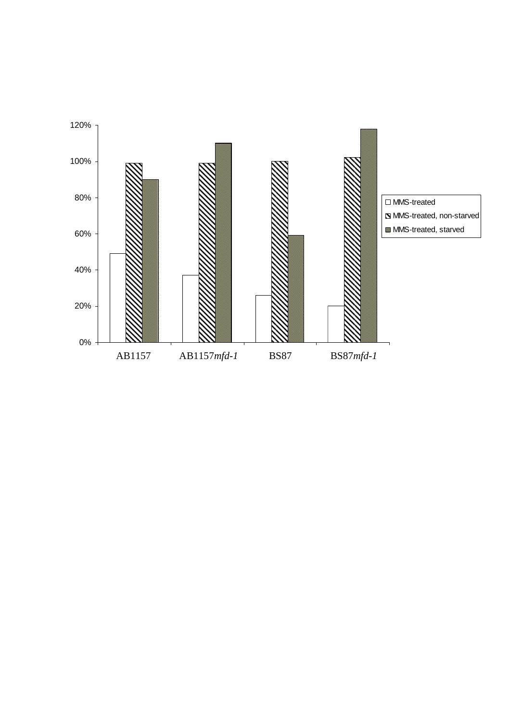